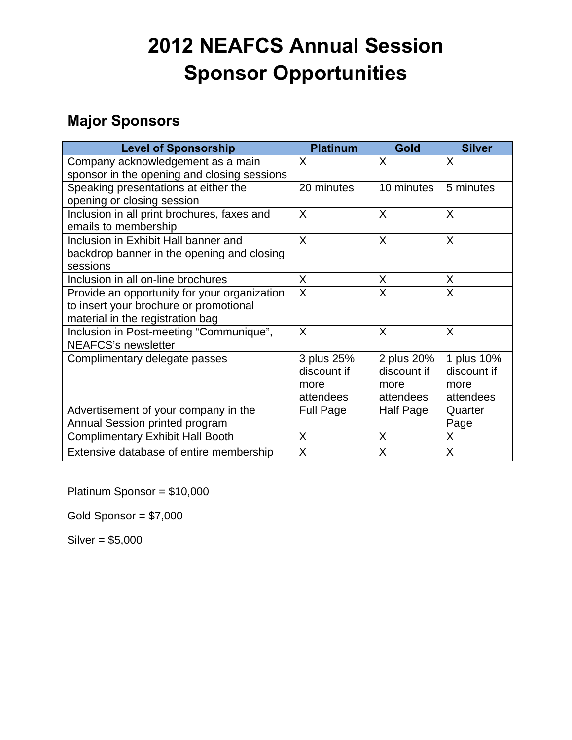## **2012 NEAFCS Annual Session Sponsor Opportunities**

## **Major Sponsors**

| <b>Level of Sponsorship</b>                  | <b>Platinum</b>  | Gold        | <b>Silver</b> |
|----------------------------------------------|------------------|-------------|---------------|
| Company acknowledgement as a main            | $\sf X$          | X           | X             |
| sponsor in the opening and closing sessions  |                  |             |               |
| Speaking presentations at either the         | 20 minutes       | 10 minutes  | 5 minutes     |
| opening or closing session                   |                  |             |               |
| Inclusion in all print brochures, faxes and  | $\sf X$          | X           | X             |
| emails to membership                         |                  |             |               |
| Inclusion in Exhibit Hall banner and         | $\sf X$          | X           | X             |
| backdrop banner in the opening and closing   |                  |             |               |
| sessions                                     |                  |             |               |
| Inclusion in all on-line brochures           | $\sf X$          | X           | X             |
| Provide an opportunity for your organization | $\mathsf{X}$     | X           | X             |
| to insert your brochure or promotional       |                  |             |               |
| material in the registration bag             |                  |             |               |
| Inclusion in Post-meeting "Communique",      | $\sf X$          | X           | X             |
| <b>NEAFCS's newsletter</b>                   |                  |             |               |
| Complimentary delegate passes                | 3 plus 25%       | 2 plus 20%  | 1 plus 10%    |
|                                              | discount if      | discount if | discount if   |
|                                              | more             | more        | more          |
|                                              | attendees        | attendees   | attendees     |
| Advertisement of your company in the         | <b>Full Page</b> | Half Page   | Quarter       |
| Annual Session printed program               |                  |             | Page          |
| <b>Complimentary Exhibit Hall Booth</b>      | X                | X           | X             |
| Extensive database of entire membership      | X                | X           | X             |

Platinum Sponsor = \$10,000

Gold Sponsor = \$7,000

Silver = \$5,000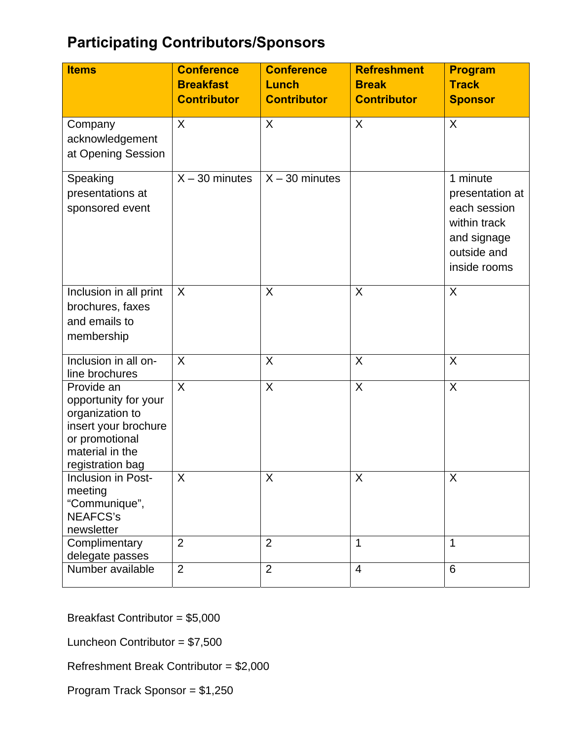## **Participating Contributors/Sponsors**

| <b>Items</b>                                                                                                                           | <b>Conference</b><br><b>Breakfast</b> | <b>Conference</b><br>Lunch | <b>Refreshment</b><br><b>Break</b> | <b>Program</b><br><b>Track</b>                                                                            |
|----------------------------------------------------------------------------------------------------------------------------------------|---------------------------------------|----------------------------|------------------------------------|-----------------------------------------------------------------------------------------------------------|
|                                                                                                                                        | <b>Contributor</b>                    | <b>Contributor</b>         | <b>Contributor</b>                 | <b>Sponsor</b>                                                                                            |
| Company<br>acknowledgement<br>at Opening Session                                                                                       | X                                     | X                          | $\sf X$                            | X                                                                                                         |
| Speaking<br>presentations at<br>sponsored event                                                                                        | $X - 30$ minutes                      | $X - 30$ minutes           |                                    | 1 minute<br>presentation at<br>each session<br>within track<br>and signage<br>outside and<br>inside rooms |
| Inclusion in all print<br>brochures, faxes<br>and emails to<br>membership                                                              | X                                     | X                          | X                                  | X                                                                                                         |
| Inclusion in all on-<br>line brochures                                                                                                 | X                                     | X                          | X                                  | X                                                                                                         |
| Provide an<br>opportunity for your<br>organization to<br>insert your brochure<br>or promotional<br>material in the<br>registration bag | X                                     | $\sf X$                    | $\sf X$                            | $\sf X$                                                                                                   |
| Inclusion in Post-<br>meeting<br>"Communique",<br><b>NEAFCS's</b><br>newsletter                                                        | X                                     | Χ                          | X                                  | X                                                                                                         |
| Complimentary<br>delegate passes                                                                                                       | $\overline{2}$                        | $\overline{2}$             | 1                                  | 1                                                                                                         |
| Number available                                                                                                                       | $\overline{2}$                        | $\overline{2}$             | $\overline{4}$                     | $6\phantom{1}6$                                                                                           |

Breakfast Contributor = \$5,000

Luncheon Contributor = \$7,500

Refreshment Break Contributor = \$2,000

Program Track Sponsor = \$1,250